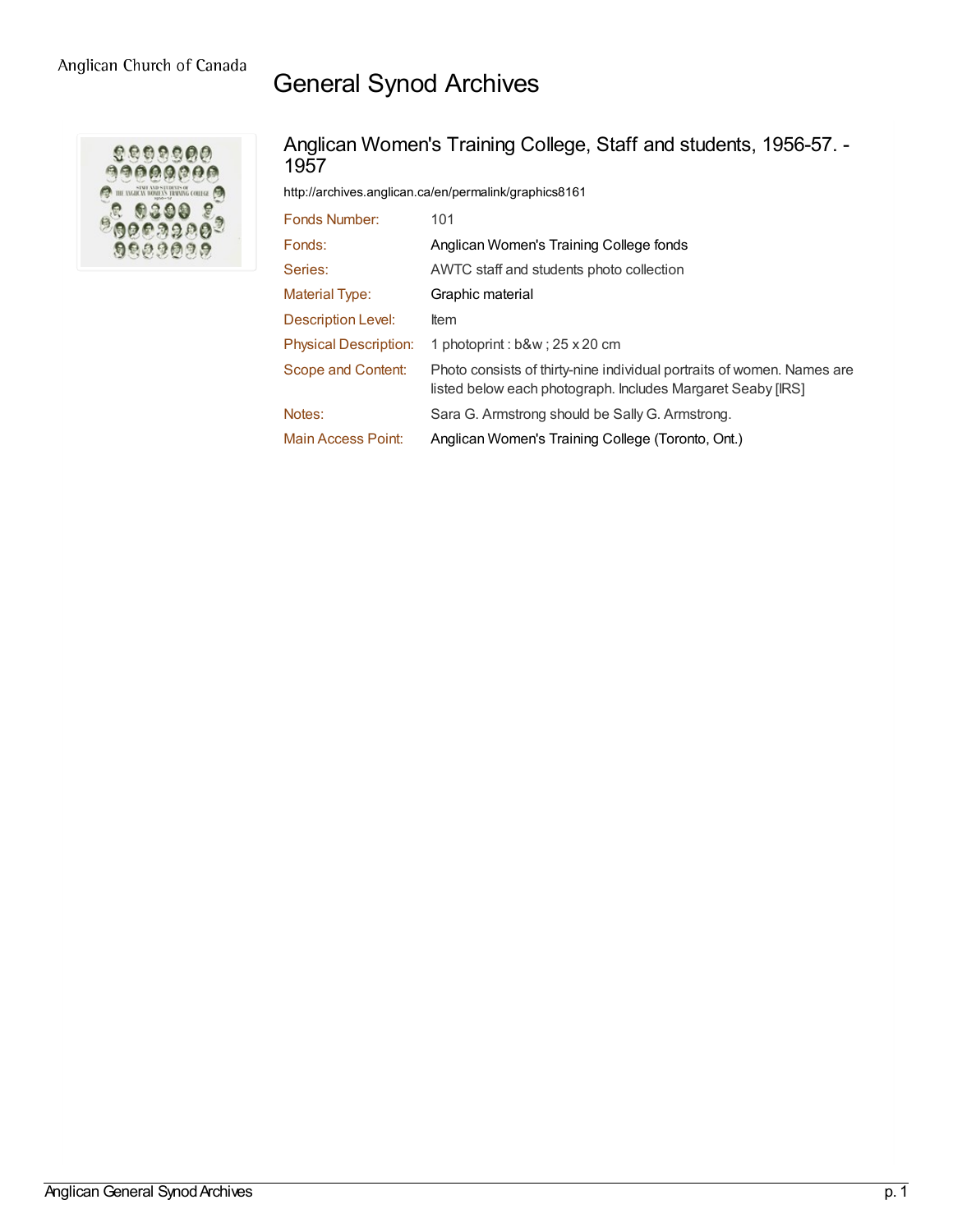## General Synod Archives



## Anglican Women's Training College, Staff and students, 1956-57. - 1957

<http://archives.anglican.ca/en/permalink/graphics8161>

| Fonds Number:                | 101                                                                                                                                   |
|------------------------------|---------------------------------------------------------------------------------------------------------------------------------------|
| Fonds:                       | Anglican Women's Training College fonds                                                                                               |
| Series:                      | AWTC staff and students photo collection                                                                                              |
| <b>Material Type:</b>        | Graphic material                                                                                                                      |
| Description Level:           | Item                                                                                                                                  |
| <b>Physical Description:</b> | 1 photoprint : b&w ; 25 x 20 cm                                                                                                       |
| Scope and Content:           | Photo consists of thirty-nine individual portraits of women. Names are<br>listed below each photograph. Includes Margaret Seaby [IRS] |
| Notes:                       | Sara G. Armstrong should be Sally G. Armstrong.                                                                                       |
| Main Access Point:           | Anglican Women's Training College (Toronto, Ont.)                                                                                     |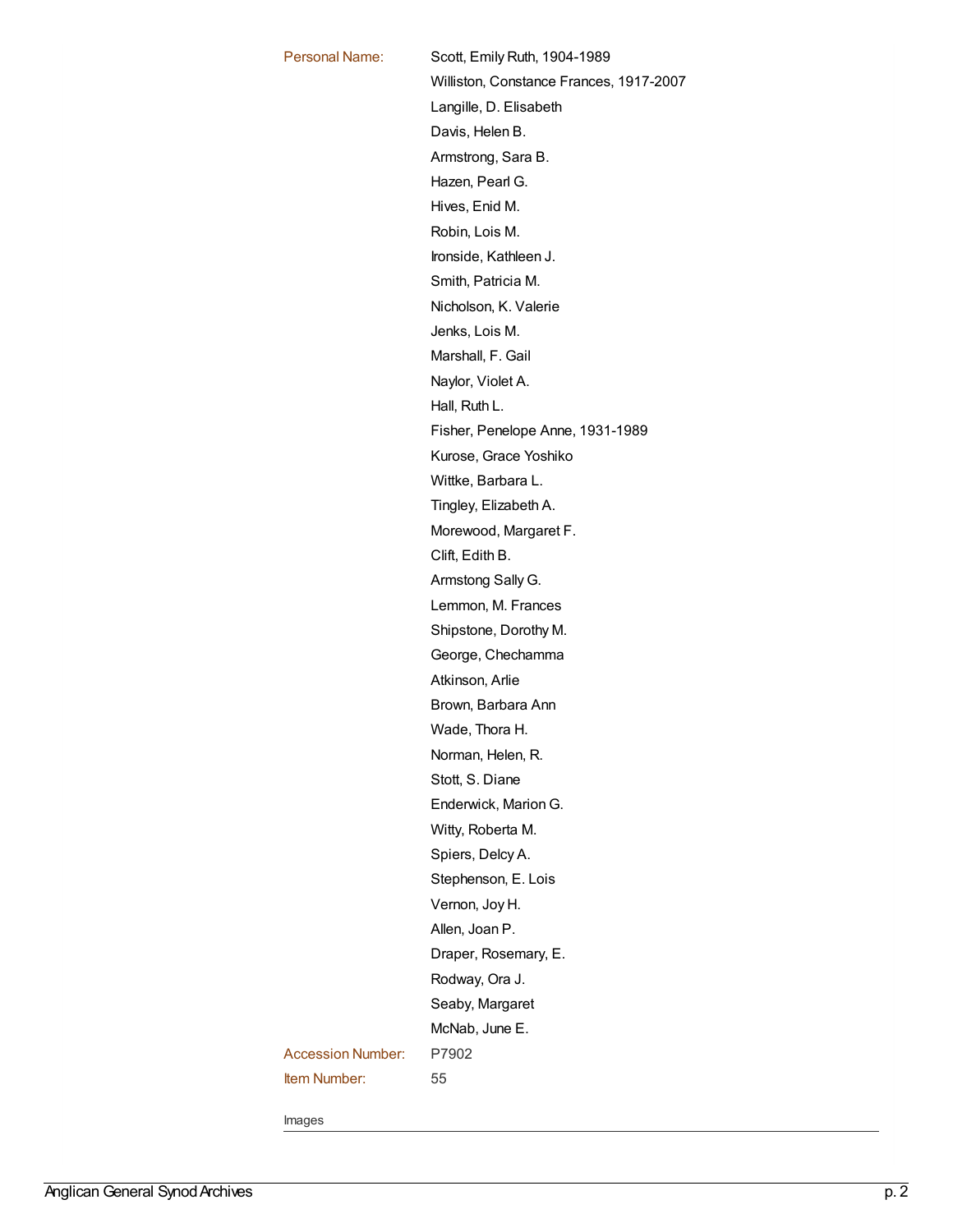| <b>Personal Name:</b>    | Scott, Emily Ruth, 1904-1989            |
|--------------------------|-----------------------------------------|
|                          | Williston, Constance Frances, 1917-2007 |
|                          | Langille, D. Elisabeth                  |
|                          | Davis, Helen B.                         |
|                          | Armstrong, Sara B.                      |
|                          | Hazen, Pearl G.                         |
|                          | Hives, Enid M.                          |
|                          | Robin, Lois M.                          |
|                          | Ironside, Kathleen J.                   |
|                          | Smith, Patricia M.                      |
|                          | Nicholson, K. Valerie                   |
|                          | Jenks, Lois M.                          |
|                          | Marshall, F. Gail                       |
|                          | Naylor, Violet A.                       |
|                          | Hall, Ruth L.                           |
|                          | Fisher, Penelope Anne, 1931-1989        |
|                          | Kurose, Grace Yoshiko                   |
|                          | Wittke, Barbara L.                      |
|                          | Tingley, Elizabeth A.                   |
|                          | Morewood, Margaret F.                   |
|                          | Clift, Edith B.                         |
|                          | Armstong Sally G.                       |
|                          | Lemmon, M. Frances                      |
|                          | Shipstone, Dorothy M.                   |
|                          | George, Chechamma                       |
|                          | Atkinson, Arlie                         |
|                          | Brown, Barbara Ann                      |
|                          | Wade, Thora H.                          |
|                          |                                         |
|                          | Norman, Helen, R.                       |
|                          | Stott, S. Diane                         |
|                          | Enderwick, Marion G.                    |
|                          | Witty, Roberta M.                       |
|                          | Spiers, Delcy A.                        |
|                          | Stephenson, E. Lois                     |
|                          | Vernon, Joy H.                          |
|                          | Allen, Joan P.                          |
|                          | Draper, Rosemary, E.                    |
|                          | Rodway, Ora J.                          |
|                          | Seaby, Margaret                         |
|                          | McNab, June E.                          |
| <b>Accession Number:</b> | P7902                                   |
| <b>Item Number:</b>      | 55                                      |
|                          |                                         |

Images